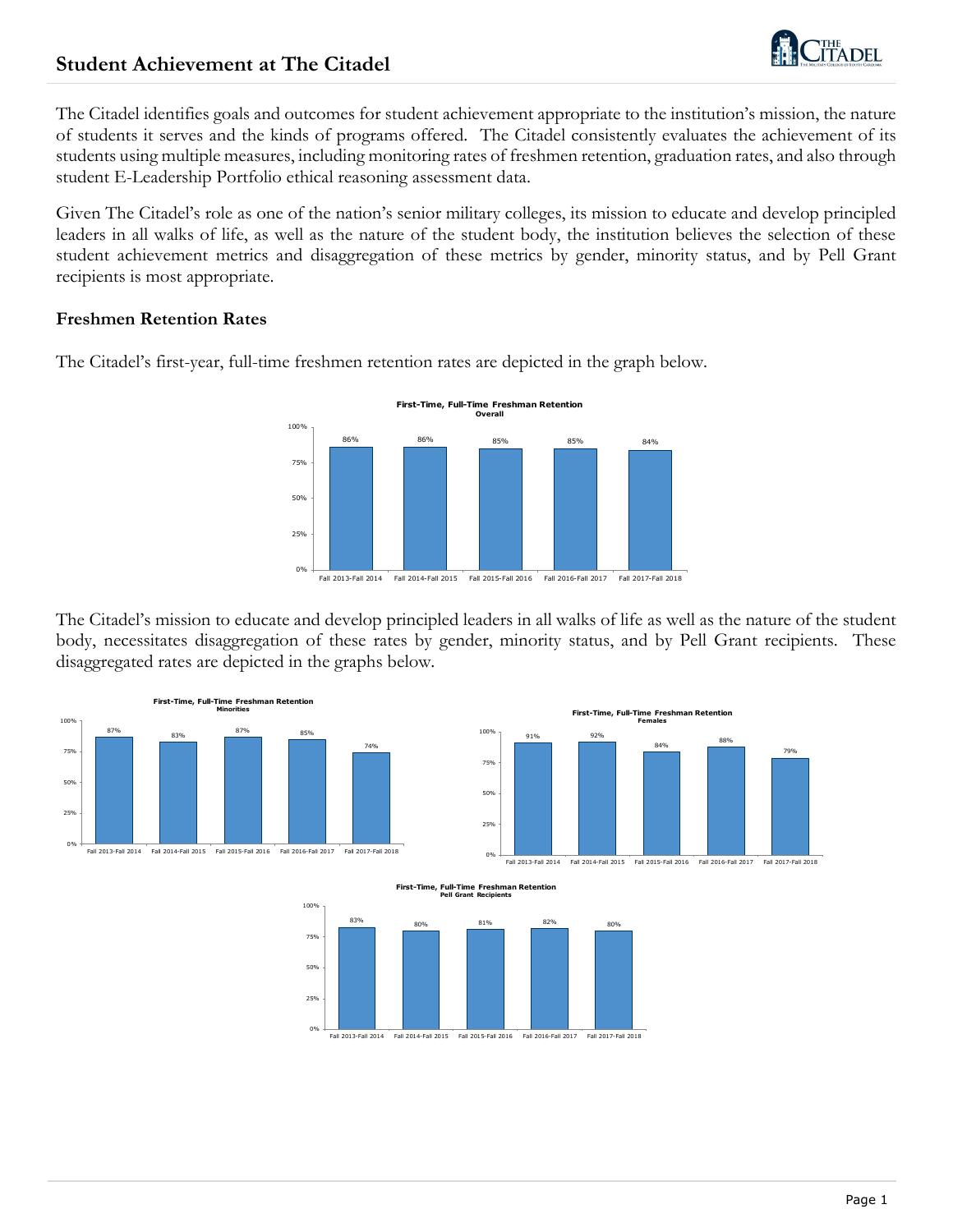# **Student Achievement at The Citadel**



The Citadel identifies goals and outcomes for student achievement appropriate to the institution's mission, the nature of students it serves and the kinds of programs offered. The Citadel consistently evaluates the achievement of its students using multiple measures, including monitoring rates of freshmen retention, graduation rates, and also through student E-Leadership Portfolio ethical reasoning assessment data.

Given The Citadel's role as one of the nation's senior military colleges, its mission to educate and develop principled leaders in all walks of life, as well as the nature of the student body, the institution believes the selection of these student achievement metrics and disaggregation of these metrics by gender, minority status, and by Pell Grant recipients is most appropriate.

#### **Freshmen Retention Rates**



The Citadel's first-year, full-time freshmen retention rates are depicted in the graph below.

Fall 2013-Fall 2014 Fall 2014-Fall 2015 Fall 2015-Fall 2016 Fall 2016-Fall 2017 Fall 2017-Fall 2018

The Citadel's mission to educate and develop principled leaders in all walks of life as well as the nature of the student body, necessitates disaggregation of these rates by gender, minority status, and by Pell Grant recipients. These disaggregated rates are depicted in the graphs below.



91% 92% 84% 88% 79% 25% 50% 75% 100%

**First-Time, Full-Time Freshman Retention Females**

0% Fall 2013-Fall 2014 Fall 2013-Fall 2014 Fall 2014-Fall 2015 Fall 2015-Fall 2016 Fall 2016-Fall 2017 Fall 2017-Fall 2018



**First-Time, Full-Time Freshman Retention Pell Grant Recipients**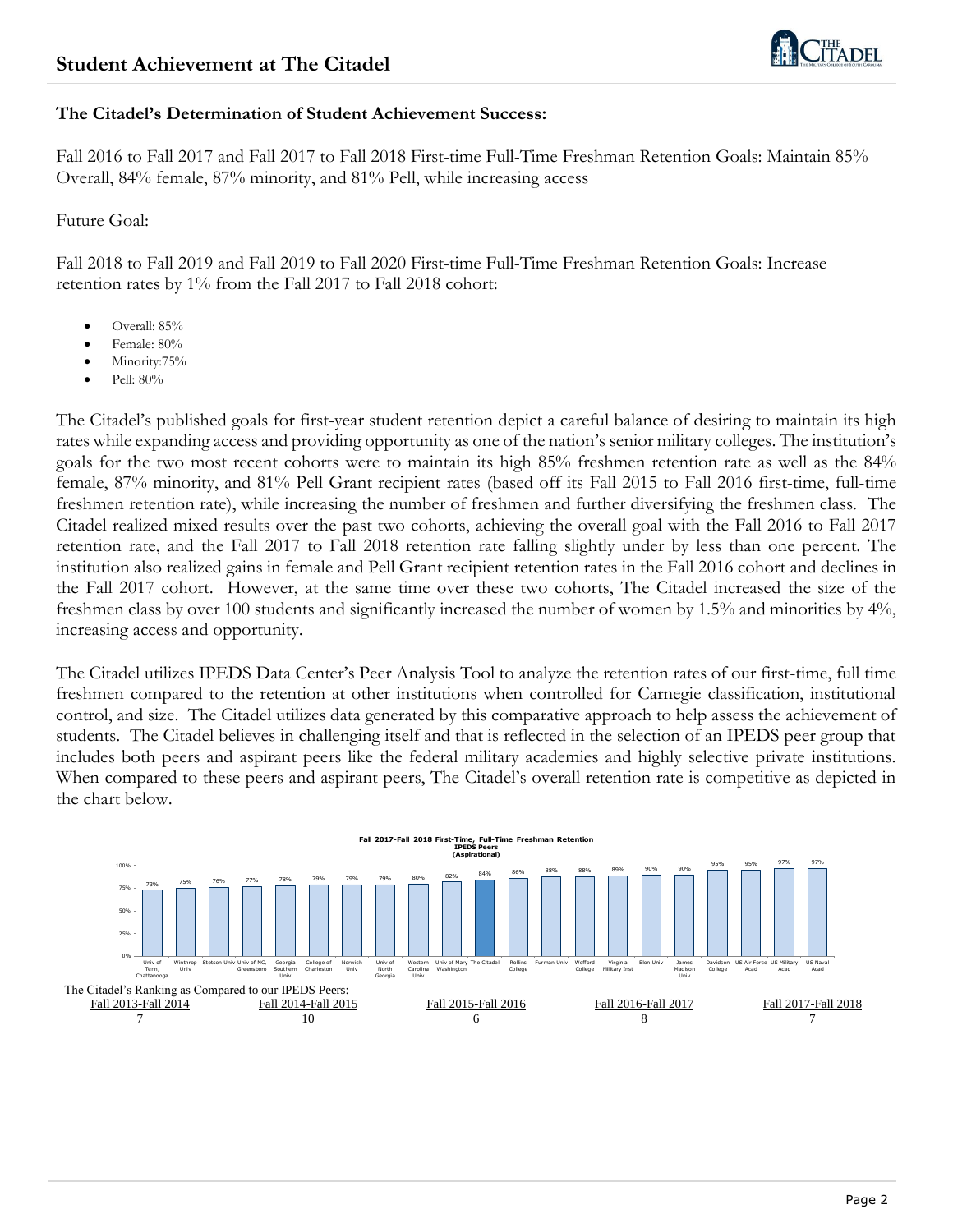

#### **The Citadel's Determination of Student Achievement Success:**

Fall 2016 to Fall 2017 and Fall 2017 to Fall 2018 First-time Full-Time Freshman Retention Goals: Maintain 85% Overall, 84% female, 87% minority, and 81% Pell, while increasing access

#### Future Goal:

Fall 2018 to Fall 2019 and Fall 2019 to Fall 2020 First-time Full-Time Freshman Retention Goals: Increase retention rates by 1% from the Fall 2017 to Fall 2018 cohort:

- Overall: 85%
- Female: 80%
- Minority:75%
- Pell: 80%

The Citadel's published goals for first-year student retention depict a careful balance of desiring to maintain its high rates while expanding access and providing opportunity as one of the nation's senior military colleges. The institution's goals for the two most recent cohorts were to maintain its high 85% freshmen retention rate as well as the 84% female, 87% minority, and 81% Pell Grant recipient rates (based off its Fall 2015 to Fall 2016 first-time, full-time freshmen retention rate), while increasing the number of freshmen and further diversifying the freshmen class. The Citadel realized mixed results over the past two cohorts, achieving the overall goal with the Fall 2016 to Fall 2017 retention rate, and the Fall 2017 to Fall 2018 retention rate falling slightly under by less than one percent. The institution also realized gains in female and Pell Grant recipient retention rates in the Fall 2016 cohort and declines in the Fall 2017 cohort. However, at the same time over these two cohorts, The Citadel increased the size of the freshmen class by over 100 students and significantly increased the number of women by 1.5% and minorities by 4%, increasing access and opportunity.

The Citadel utilizes IPEDS Data Center's Peer Analysis Tool to analyze the retention rates of our first-time, full time freshmen compared to the retention at other institutions when controlled for Carnegie classification, institutional control, and size. The Citadel utilizes data generated by this comparative approach to help assess the achievement of students. The Citadel believes in challenging itself and that is reflected in the selection of an IPEDS peer group that includes both peers and aspirant peers like the federal military academies and highly selective private institutions. When compared to these peers and aspirant peers, The Citadel's overall retention rate is competitive as depicted in the chart below.

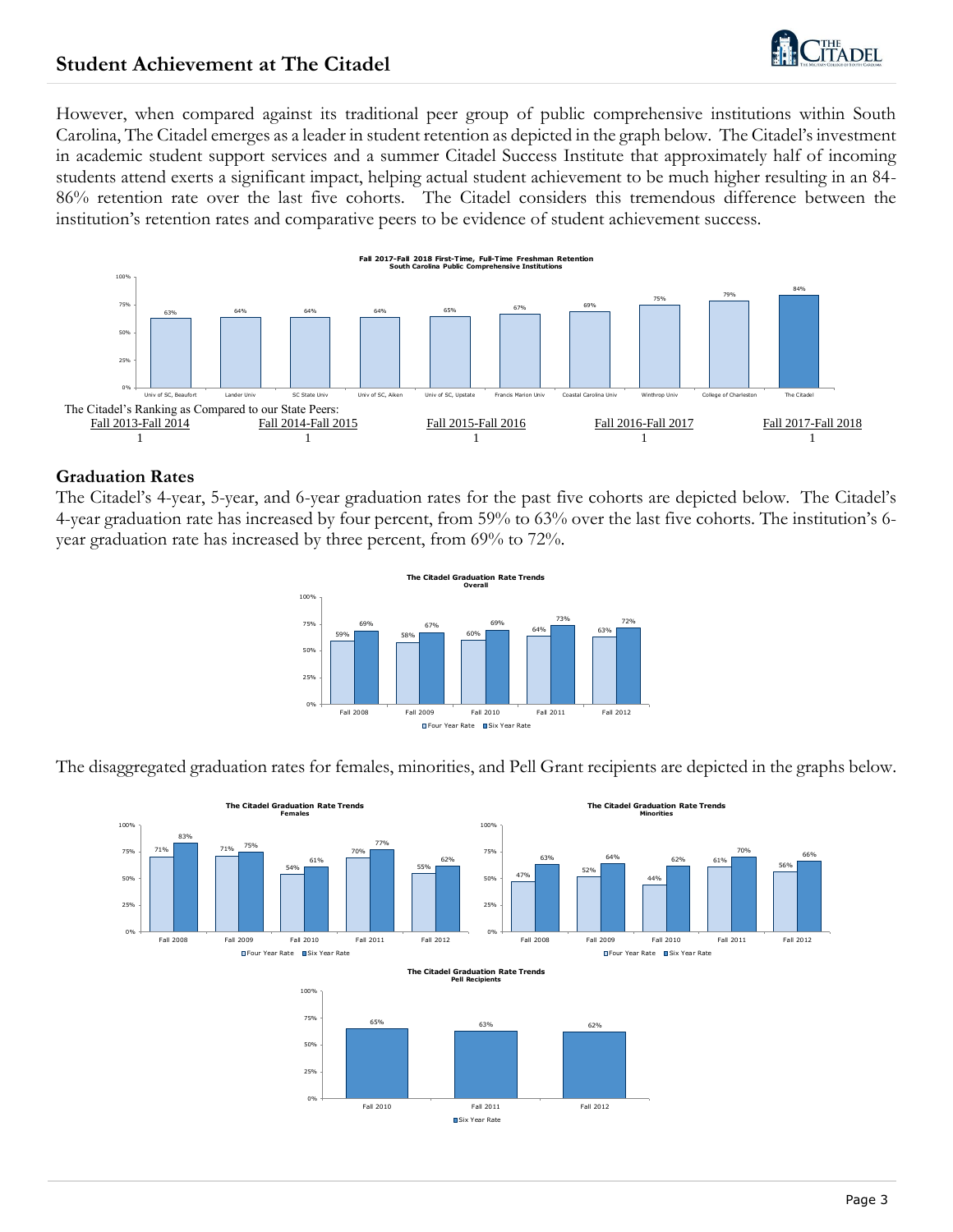

## **Student Achievement at The Citadel**

However, when compared against its traditional peer group of public comprehensive institutions within South Carolina, The Citadel emerges as a leader in student retention as depicted in the graph below. The Citadel's investment in academic student support services and a summer Citadel Success Institute that approximately half of incoming students attend exerts a significant impact, helping actual student achievement to be much higher resulting in an 84- 86% retention rate over the last five cohorts. The Citadel considers this tremendous difference between the institution's retention rates and comparative peers to be evidence of student achievement success.



#### **Graduation Rates**

The Citadel's 4-year, 5-year, and 6-year graduation rates for the past five cohorts are depicted below. The Citadel's 4-year graduation rate has increased by four percent, from 59% to 63% over the last five cohorts. The institution's 6 year graduation rate has increased by three percent, from 69% to 72%.



The disaggregated graduation rates for females, minorities, and Pell Grant recipients are depicted in the graphs below.

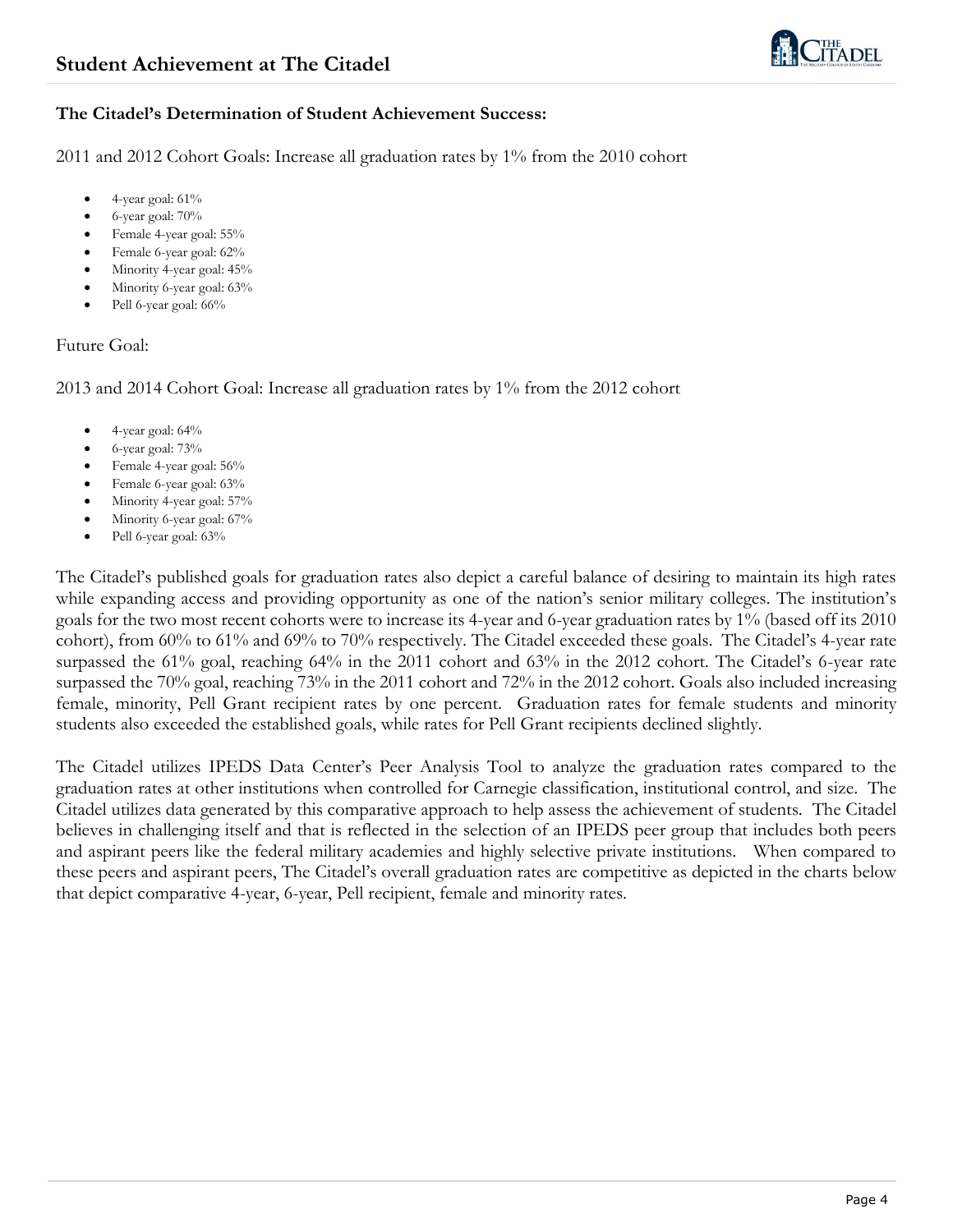

#### **The Citadel's Determination of Student Achievement Success:**

2011 and 2012 Cohort Goals: Increase all graduation rates by 1% from the 2010 cohort

- 4-year goal: 61%
- 6-year goal: 70%
- Female 4-year goal: 55%
- Female 6-year goal: 62%
- Minority 4-year goal: 45%
- Minority 6-year goal: 63%
- Pell 6-year goal: 66%

#### Future Goal:

2013 and 2014 Cohort Goal: Increase all graduation rates by 1% from the 2012 cohort

- 4-year goal: 64%
- 6-year goal: 73%
- Female 4-year goal: 56%
- Female 6-year goal: 63%
- Minority 4-year goal: 57%
- Minority 6-year goal: 67%
- Pell 6-year goal: 63%

The Citadel's published goals for graduation rates also depict a careful balance of desiring to maintain its high rates while expanding access and providing opportunity as one of the nation's senior military colleges. The institution's goals for the two most recent cohorts were to increase its 4-year and 6-year graduation rates by 1% (based off its 2010 cohort), from 60% to 61% and 69% to 70% respectively. The Citadel exceeded these goals. The Citadel's 4-year rate surpassed the 61% goal, reaching 64% in the 2011 cohort and 63% in the 2012 cohort. The Citadel's 6-year rate surpassed the 70% goal, reaching 73% in the 2011 cohort and 72% in the 2012 cohort. Goals also included increasing female, minority, Pell Grant recipient rates by one percent. Graduation rates for female students and minority students also exceeded the established goals, while rates for Pell Grant recipients declined slightly.

The Citadel utilizes IPEDS Data Center's Peer Analysis Tool to analyze the graduation rates compared to the graduation rates at other institutions when controlled for Carnegie classification, institutional control, and size. The Citadel utilizes data generated by this comparative approach to help assess the achievement of students. The Citadel believes in challenging itself and that is reflected in the selection of an IPEDS peer group that includes both peers and aspirant peers like the federal military academies and highly selective private institutions. When compared to these peers and aspirant peers, The Citadel's overall graduation rates are competitive as depicted in the charts below that depict comparative 4-year, 6-year, Pell recipient, female and minority rates.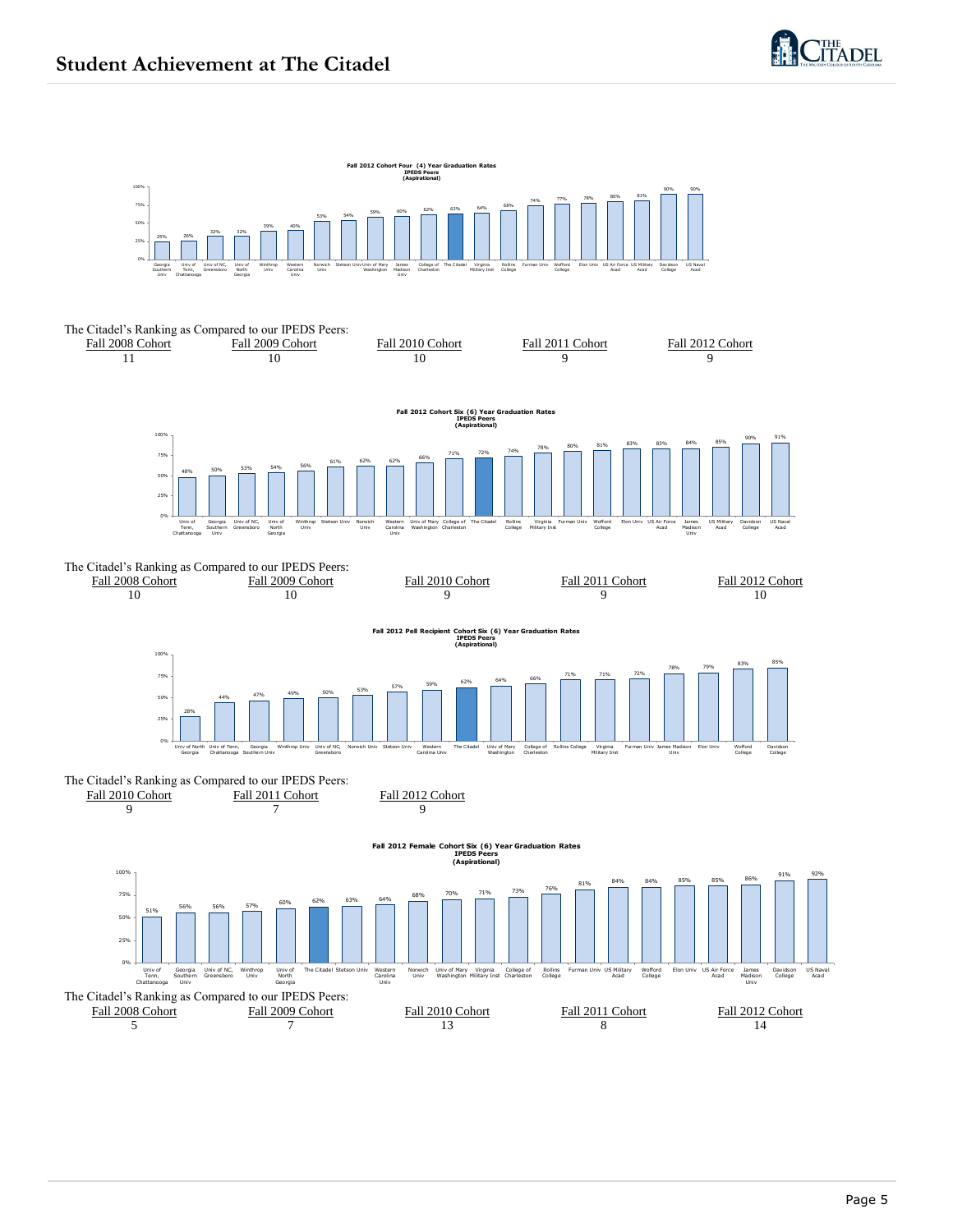

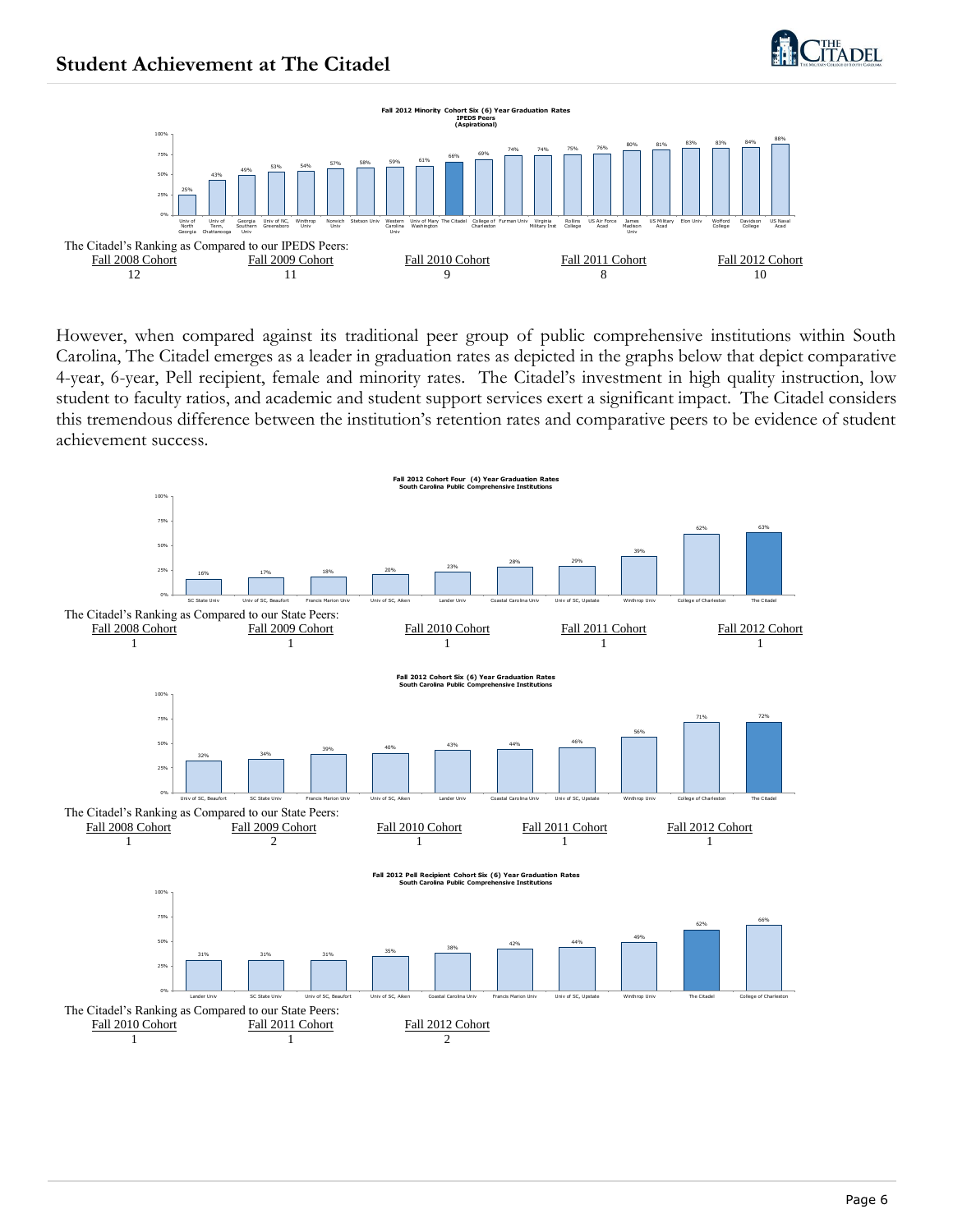





However, when compared against its traditional peer group of public comprehensive institutions within South Carolina, The Citadel emerges as a leader in graduation rates as depicted in the graphs below that depict comparative 4-year, 6-year, Pell recipient, female and minority rates. The Citadel's investment in high quality instruction, low student to faculty ratios, and academic and student support services exert a significant impact. The Citadel considers this tremendous difference between the institution's retention rates and comparative peers to be evidence of student achievement success.

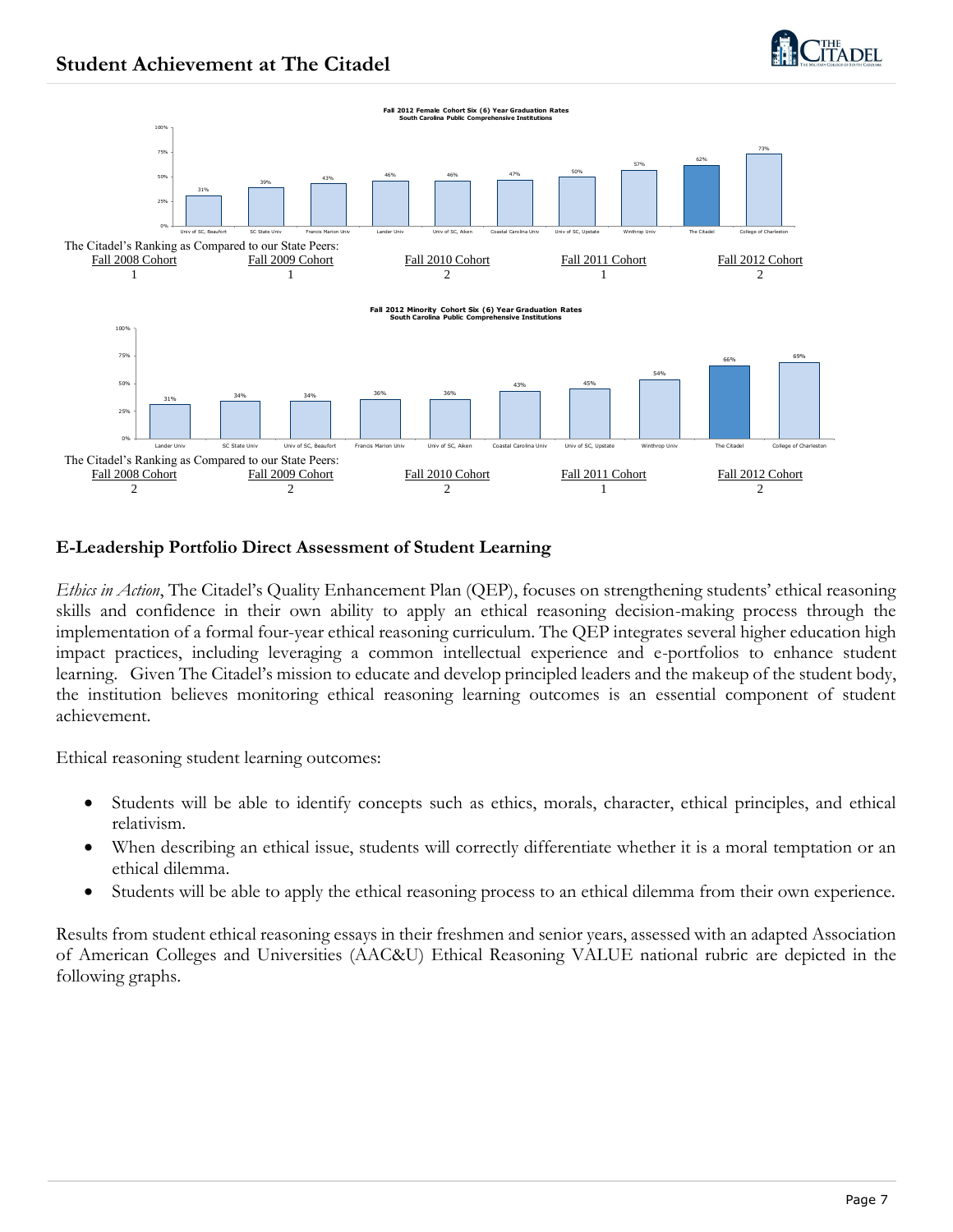



## **E-Leadership Portfolio Direct Assessment of Student Learning**

*Ethics in Action*, The Citadel's Quality Enhancement Plan (QEP), focuses on strengthening students' ethical reasoning skills and confidence in their own ability to apply an ethical reasoning decision-making process through the implementation of a formal four-year ethical reasoning curriculum. The QEP integrates several higher education high impact practices, including leveraging a common intellectual experience and e-portfolios to enhance student learning. Given The Citadel's mission to educate and develop principled leaders and the makeup of the student body, the institution believes monitoring ethical reasoning learning outcomes is an essential component of student achievement.

Ethical reasoning student learning outcomes:

- Students will be able to identify concepts such as ethics, morals, character, ethical principles, and ethical relativism.
- When describing an ethical issue, students will correctly differentiate whether it is a moral temptation or an ethical dilemma.
- Students will be able to apply the ethical reasoning process to an ethical dilemma from their own experience.

Results from student ethical reasoning essays in their freshmen and senior years, assessed with an adapted Association of American Colleges and Universities (AAC&U) Ethical Reasoning VALUE national rubric are depicted in the following graphs.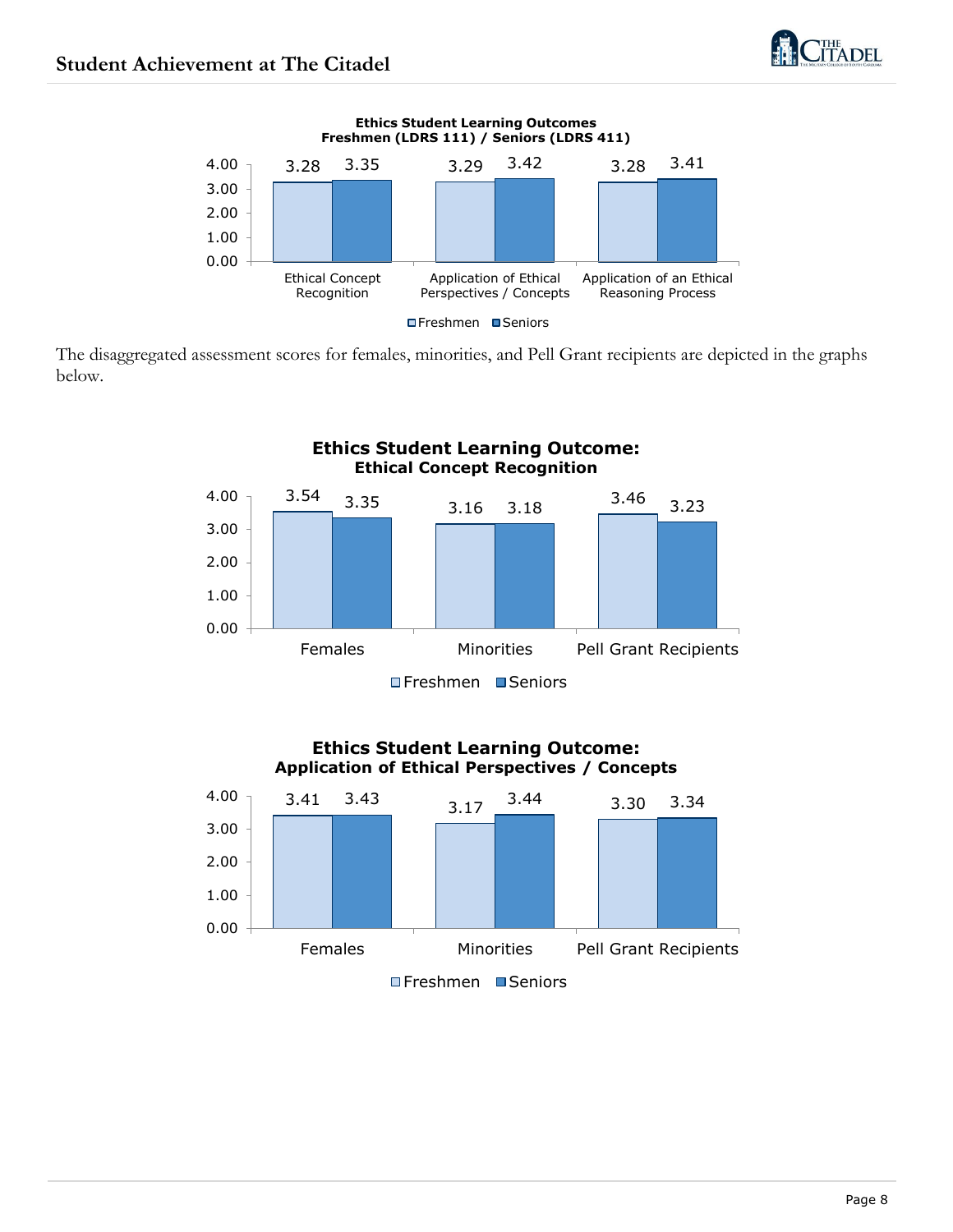

The disaggregated assessment scores for females, minorities, and Pell Grant recipients are depicted in the graphs below.



#### **Ethics Student Learning Outcome: Application of Ethical Perspectives / Concepts**